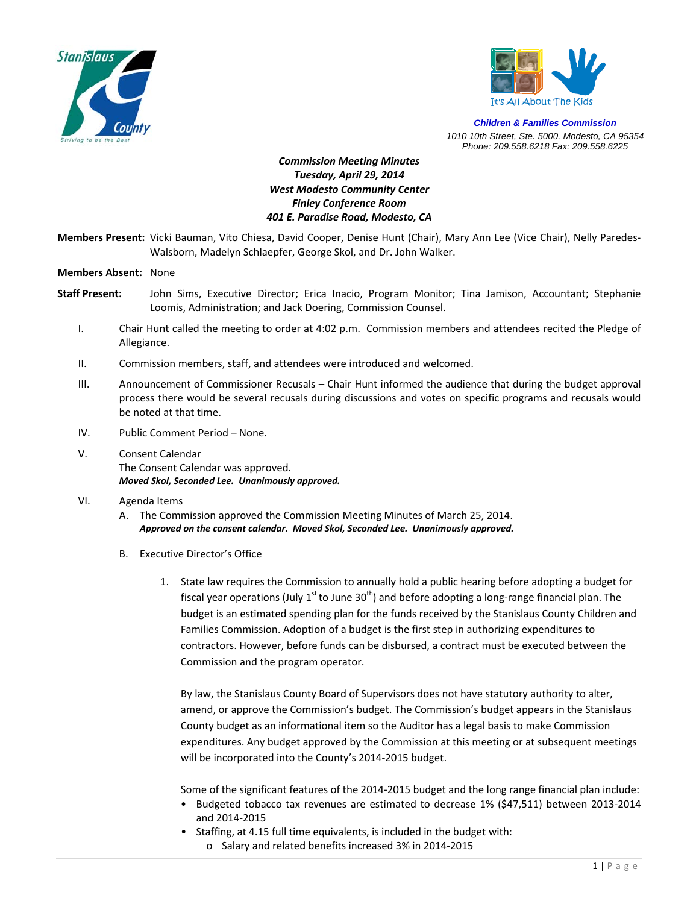



*Children & Families Commission 1010 10th Street, Ste. 5000, Modesto, CA 95354 Phone: 209.558.6218 Fax: 209.558.6225*

## *Commission Meeting Minutes Tuesday, April 29, 2014 West Modesto Community Center Finley Conference Room 401 E. Paradise Road, Modesto, CA*

**Members Present:** Vicki Bauman, Vito Chiesa, David Cooper, Denise Hunt (Chair), Mary Ann Lee (Vice Chair), Nelly Paredes‐ Walsborn, Madelyn Schlaepfer, George Skol, and Dr. John Walker.

## **Members Absent:** None

- **Staff Present:** John Sims, Executive Director; Erica Inacio, Program Monitor; Tina Jamison, Accountant; Stephanie Loomis, Administration; and Jack Doering, Commission Counsel.
	- I. Chair Hunt called the meeting to order at 4:02 p.m. Commission members and attendees recited the Pledge of Allegiance.
	- II. Commission members, staff, and attendees were introduced and welcomed.
	- III. Announcement of Commissioner Recusals Chair Hunt informed the audience that during the budget approval process there would be several recusals during discussions and votes on specific programs and recusals would be noted at that time.
	- IV. Public Comment Period None.
	- V. Consent Calendar The Consent Calendar was approved. *Moved Skol, Seconded Lee. Unanimously approved.*

## VI. Agenda Items

- A. The Commission approved the Commission Meeting Minutes of March 25, 2014. *Approved on the consent calendar. Moved Skol, Seconded Lee. Unanimously approved.*
- B. Executive Director's Office
	- 1. State law requires the Commission to annually hold a public hearing before adopting a budget for fiscal year operations (July 1<sup>st</sup> to June 30<sup>th</sup>) and before adopting a long-range financial plan. The budget is an estimated spending plan for the funds received by the Stanislaus County Children and Families Commission. Adoption of a budget is the first step in authorizing expenditures to contractors. However, before funds can be disbursed, a contract must be executed between the Commission and the program operator.

By law, the Stanislaus County Board of Supervisors does not have statutory authority to alter, amend, or approve the Commission's budget. The Commission's budget appears in the Stanislaus County budget as an informational item so the Auditor has a legal basis to make Commission expenditures. Any budget approved by the Commission at this meeting or at subsequent meetings will be incorporated into the County's 2014‐2015 budget.

Some of the significant features of the 2014‐2015 budget and the long range financial plan include:

- Budgeted tobacco tax revenues are estimated to decrease 1% (\$47,511) between 2013-2014 and 2014‐2015
- Staffing, at 4.15 full time equivalents, is included in the budget with: o Salary and related benefits increased 3% in 2014‐2015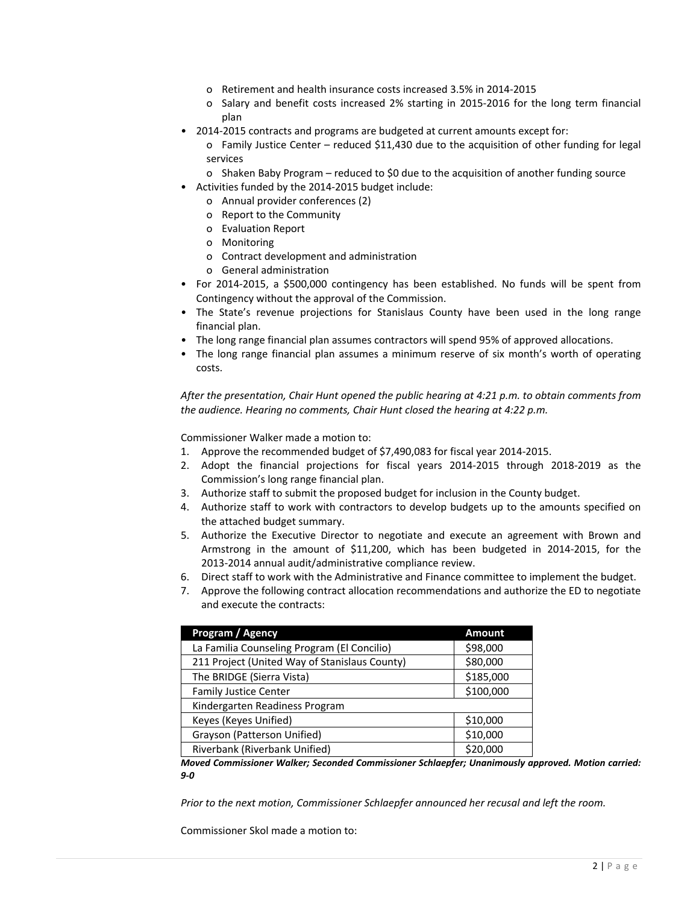- o Retirement and health insurance costs increased 3.5% in 2014‐2015
- o Salary and benefit costs increased 2% starting in 2015‐2016 for the long term financial plan
- 2014-2015 contracts and programs are budgeted at current amounts except for:

o Family Justice Center – reduced \$11,430 due to the acquisition of other funding for legal services

- o Shaken Baby Program reduced to \$0 due to the acquisition of another funding source
- Activities funded by the 2014‐2015 budget include:
	- o Annual provider conferences (2)
	- o Report to the Community
	- o Evaluation Report
	- o Monitoring
	- o Contract development and administration
	- o General administration
- For 2014‐2015, a \$500,000 contingency has been established. No funds will be spent from Contingency without the approval of the Commission.
- The State's revenue projections for Stanislaus County have been used in the long range financial plan.
- The long range financial plan assumes contractors will spend 95% of approved allocations.
- The long range financial plan assumes a minimum reserve of six month's worth of operating costs.

*After the presentation, Chair Hunt opened the public hearing at 4:21 p.m. to obtain comments from the audience. Hearing no comments, Chair Hunt closed the hearing at 4:22 p.m.*

Commissioner Walker made a motion to:

- 1. Approve the recommended budget of \$7,490,083 for fiscal year 2014‐2015.
- 2. Adopt the financial projections for fiscal years 2014‐2015 through 2018‐2019 as the Commission's long range financial plan.
- 3. Authorize staff to submit the proposed budget for inclusion in the County budget.
- 4. Authorize staff to work with contractors to develop budgets up to the amounts specified on the attached budget summary.
- 5. Authorize the Executive Director to negotiate and execute an agreement with Brown and Armstrong in the amount of \$11,200, which has been budgeted in 2014‐2015, for the 2013‐2014 annual audit/administrative compliance review.
- 6. Direct staff to work with the Administrative and Finance committee to implement the budget.
- 7. Approve the following contract allocation recommendations and authorize the ED to negotiate and execute the contracts:

| Program / Agency                              | <b>Amount</b> |
|-----------------------------------------------|---------------|
| La Familia Counseling Program (El Concilio)   | \$98,000      |
| 211 Project (United Way of Stanislaus County) | \$80,000      |
| The BRIDGE (Sierra Vista)                     | \$185,000     |
| <b>Family Justice Center</b>                  | \$100,000     |
| Kindergarten Readiness Program                |               |
| Keyes (Keyes Unified)                         | \$10,000      |
| Grayson (Patterson Unified)                   | \$10,000      |
| Riverbank (Riverbank Unified)                 | \$20,000      |

*Moved Commissioner Walker; Seconded Commissioner Schlaepfer; Unanimously approved. Motion carried: 9‐0*

*Prior to the next motion, Commissioner Schlaepfer announced her recusal and left the room.*

Commissioner Skol made a motion to: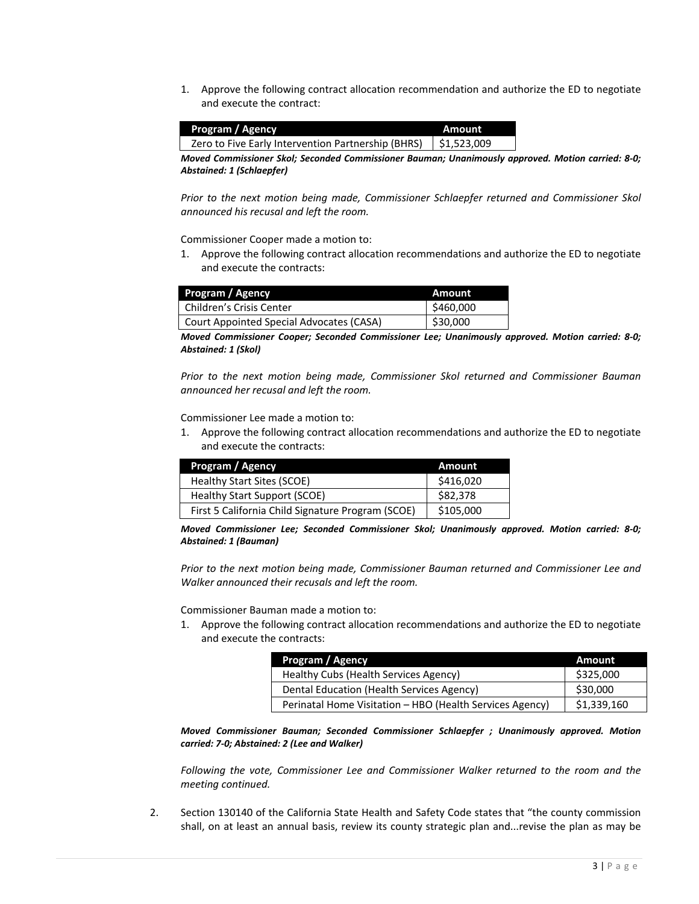1. Approve the following contract allocation recommendation and authorize the ED to negotiate and execute the contract:

| Program / Agency                                   | Amount                    |
|----------------------------------------------------|---------------------------|
| Zero to Five Early Intervention Partnership (BHRS) | $\frac{1}{2}$ \$1,523,009 |

*Moved Commissioner Skol; Seconded Commissioner Bauman; Unanimously approved. Motion carried: 8‐0; Abstained: 1 (Schlaepfer)*

*Prior to the next motion being made, Commissioner Schlaepfer returned and Commissioner Skol announced his recusal and left the room.*

Commissioner Cooper made a motion to:

1. Approve the following contract allocation recommendations and authorize the ED to negotiate and execute the contracts:

| Program / Agency                         | Amount    |
|------------------------------------------|-----------|
| <b>Children's Crisis Center</b>          | \$460,000 |
| Court Appointed Special Advocates (CASA) | \$30,000  |

*Moved Commissioner Cooper; Seconded Commissioner Lee; Unanimously approved. Motion carried: 8‐0; Abstained: 1 (Skol)*

*Prior to the next motion being made, Commissioner Skol returned and Commissioner Bauman announced her recusal and left the room.*

Commissioner Lee made a motion to:

1. Approve the following contract allocation recommendations and authorize the ED to negotiate and execute the contracts:

| Program / Agency                                  | Amount    |
|---------------------------------------------------|-----------|
| Healthy Start Sites (SCOE)                        | \$416,020 |
| Healthy Start Support (SCOE)                      | \$82,378  |
| First 5 California Child Signature Program (SCOE) | \$105,000 |

*Moved Commissioner Lee; Seconded Commissioner Skol; Unanimously approved. Motion carried: 8‐0; Abstained: 1 (Bauman)*

*Prior to the next motion being made, Commissioner Bauman returned and Commissioner Lee and Walker announced their recusals and left the room.*

Commissioner Bauman made a motion to:

1. Approve the following contract allocation recommendations and authorize the ED to negotiate and execute the contracts:

| Program / Agency                                         | Amount      |
|----------------------------------------------------------|-------------|
| Healthy Cubs (Health Services Agency)                    | \$325,000   |
| Dental Education (Health Services Agency)                | \$30,000    |
| Perinatal Home Visitation - HBO (Health Services Agency) | \$1,339,160 |

*Moved Commissioner Bauman; Seconded Commissioner Schlaepfer ; Unanimously approved. Motion carried: 7‐0; Abstained: 2 (Lee and Walker)*

*Following the vote, Commissioner Lee and Commissioner Walker returned to the room and the meeting continued.*

2. Section 130140 of the California State Health and Safety Code states that "the county commission shall, on at least an annual basis, review its county strategic plan and...revise the plan as may be